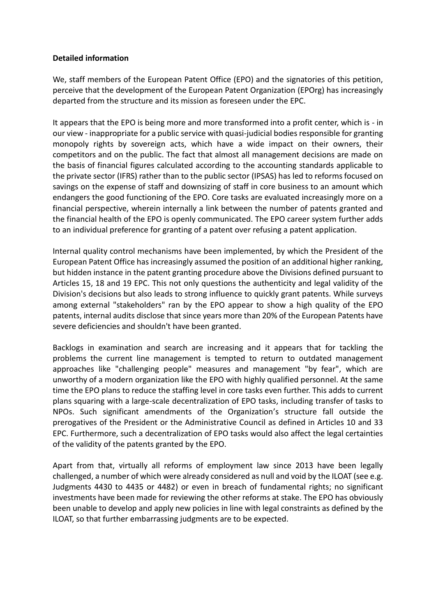## **Detailed information**

We, staff members of the European Patent Office (EPO) and the signatories of this petition, perceive that the development of the European Patent Organization (EPOrg) has increasingly departed from the structure and its mission as foreseen under the EPC.

It appears that the EPO is being more and more transformed into a profit center, which is - in our view - inappropriate for a public service with quasi-judicial bodies responsible for granting monopoly rights by sovereign acts, which have a wide impact on their owners, their competitors and on the public. The fact that almost all management decisions are made on the basis of financial figures calculated according to the accounting standards applicable to the private sector (IFRS) rather than to the public sector (IPSAS) has led to reforms focused on savings on the expense of staff and downsizing of staff in core business to an amount which endangers the good functioning of the EPO. Core tasks are evaluated increasingly more on a financial perspective, wherein internally a link between the number of patents granted and the financial health of the EPO is openly communicated. The EPO career system further adds to an individual preference for granting of a patent over refusing a patent application.

Internal quality control mechanisms have been implemented, by which the President of the European Patent Office has increasingly assumed the position of an additional higher ranking, but hidden instance in the patent granting procedure above the Divisions defined pursuant to Articles 15, 18 and 19 EPC. This not only questions the authenticity and legal validity of the Division's decisions but also leads to strong influence to quickly grant patents. While surveys among external "stakeholders" ran by the EPO appear to show a high quality of the EPO patents, internal audits disclose that since years more than 20% of the European Patents have severe deficiencies and shouldn't have been granted.

Backlogs in examination and search are increasing and it appears that for tackling the problems the current line management is tempted to return to outdated management approaches like "challenging people" measures and management "by fear", which are unworthy of a modern organization like the EPO with highly qualified personnel. At the same time the EPO plans to reduce the staffing level in core tasks even further. This adds to current plans squaring with a large-scale decentralization of EPO tasks, including transfer of tasks to NPOs. Such significant amendments of the Organization's structure fall outside the prerogatives of the President or the Administrative Council as defined in Articles 10 and 33 EPC. Furthermore, such a decentralization of EPO tasks would also affect the legal certainties of the validity of the patents granted by the EPO.

Apart from that, virtually all reforms of employment law since 2013 have been legally challenged, a number of which were already considered as null and void by the ILOAT (see e.g. Judgments 4430 to 4435 or 4482) or even in breach of fundamental rights; no significant investments have been made for reviewing the other reforms at stake. The EPO has obviously been unable to develop and apply new policies in line with legal constraints as defined by the ILOAT, so that further embarrassing judgments are to be expected.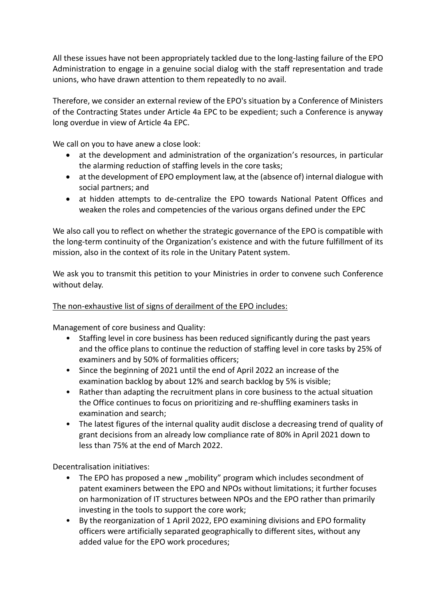All these issues have not been appropriately tackled due to the long-lasting failure of the EPO Administration to engage in a genuine social dialog with the staff representation and trade unions, who have drawn attention to them repeatedly to no avail.

Therefore, we consider an external review of the EPO's situation by a Conference of Ministers of the Contracting States under Article 4a EPC to be expedient; such a Conference is anyway long overdue in view of Article 4a EPC.

We call on you to have anew a close look:

- at the development and administration of the organization's resources, in particular the alarming reduction of staffing levels in the core tasks;
- at the development of EPO employment law, at the (absence of) internal dialogue with social partners; and
- at hidden attempts to de-centralize the EPO towards National Patent Offices and weaken the roles and competencies of the various organs defined under the EPC

We also call you to reflect on whether the strategic governance of the EPO is compatible with the long-term continuity of the Organization's existence and with the future fulfillment of its mission, also in the context of its role in the Unitary Patent system.

We ask you to transmit this petition to your Ministries in order to convene such Conference without delay.

## The non-exhaustive list of signs of derailment of the EPO includes:

Management of core business and Quality:

- Staffing level in core business has been reduced significantly during the past years and the office plans to continue the reduction of staffing level in core tasks by 25% of examiners and by 50% of formalities officers;
- Since the beginning of 2021 until the end of April 2022 an increase of the examination backlog by about 12% and search backlog by 5% is visible;
- Rather than adapting the recruitment plans in core business to the actual situation the Office continues to focus on prioritizing and re-shuffling examiners tasks in examination and search;
- The latest figures of the internal quality audit disclose a decreasing trend of quality of grant decisions from an already low compliance rate of 80% in April 2021 down to less than 75% at the end of March 2022.

Decentralisation initiatives:

- The EPO has proposed a new "mobility" program which includes secondment of patent examiners between the EPO and NPOs without limitations; it further focuses on harmonization of IT structures between NPOs and the EPO rather than primarily investing in the tools to support the core work;
- By the reorganization of 1 April 2022, EPO examining divisions and EPO formality officers were artificially separated geographically to different sites, without any added value for the EPO work procedures;